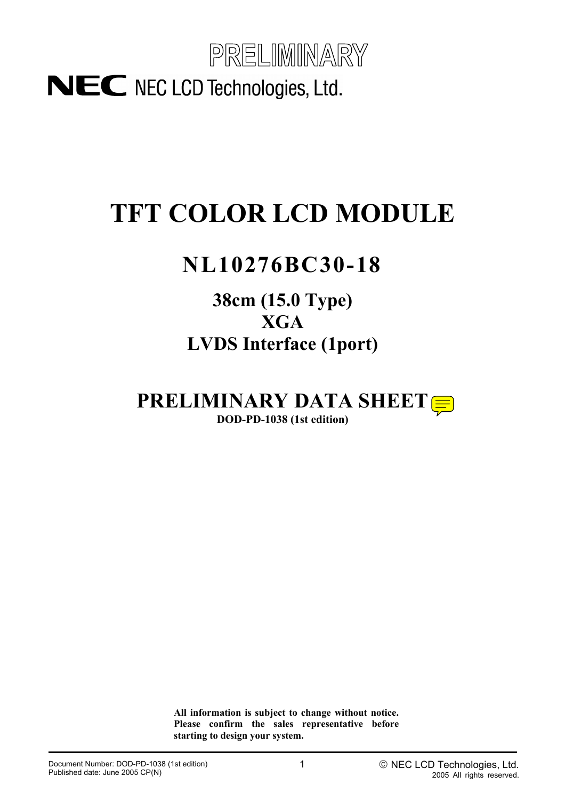

# **TFT COLOR LCD MODULE**

# **NL10276BC30-18**

## **38cm (15.0 Type) XGA LVDS Interface (1port)**

**PRELIMINARY DATA SHEET DOD-PD-1038 (1st edition)** 

> **All information is subject to change without notice. Please confirm the sales representative before starting to design your system.**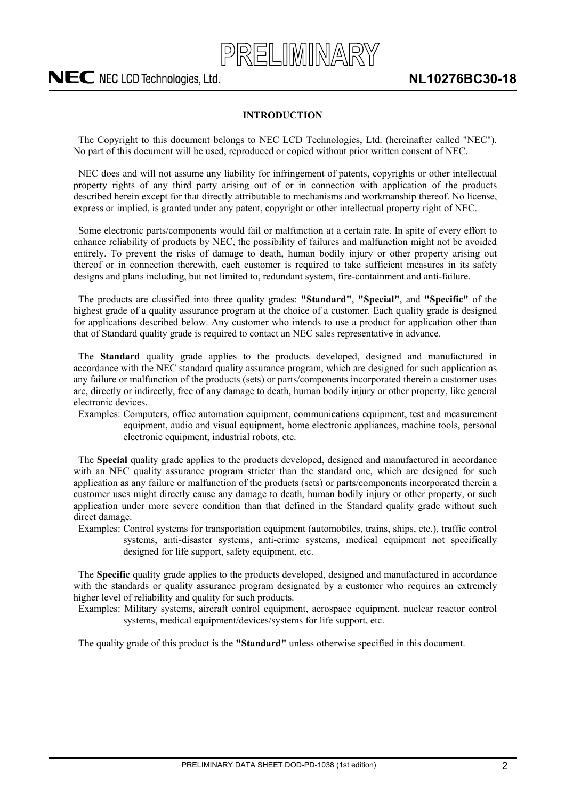

### <span id="page-1-0"></span>**INTRODUCTION**

The Copyright to this document belongs to NEC LCD Technologies, Ltd. (hereinafter called "NEC"). No part of this document will be used, reproduced or copied without prior written consent of NEC.

NEC does and will not assume any liability for infringement of patents, copyrights or other intellectual property rights of any third party arising out of or in connection with application of the products described herein except for that directly attributable to mechanisms and workmanship thereof. No license, express or implied, is granted under any patent, copyright or other intellectual property right of NEC.

Some electronic parts/components would fail or malfunction at a certain rate. In spite of every effort to enhance reliability of products by NEC, the possibility of failures and malfunction might not be avoided entirely. To prevent the risks of damage to death, human bodily injury or other property arising out thereof or in connection therewith, each customer is required to take sufficient measures in its safety designs and plans including, but not limited to, redundant system, fire-containment and anti-failure.

The products are classified into three quality grades: **"Standard"**, **"Special"**, and **"Specific"** of the highest grade of a quality assurance program at the choice of a customer. Each quality grade is designed for applications described below. Any customer who intends to use a product for application other than that of Standard quality grade is required to contact an NEC sales representative in advance.

The **Standard** quality grade applies to the products developed, designed and manufactured in accordance with the NEC standard quality assurance program, which are designed for such application as any failure or malfunction of the products (sets) or parts/components incorporated therein a customer uses are, directly or indirectly, free of any damage to death, human bodily injury or other property, like general electronic devices.

Examples: Computers, office automation equipment, communications equipment, test and measurement equipment, audio and visual equipment, home electronic appliances, machine tools, personal electronic equipment, industrial robots, etc.

The **Special** quality grade applies to the products developed, designed and manufactured in accordance with an NEC quality assurance program stricter than the standard one, which are designed for such application as any failure or malfunction of the products (sets) or parts/components incorporated therein a customer uses might directly cause any damage to death, human bodily injury or other property, or such application under more severe condition than that defined in the Standard quality grade without such direct damage.

Examples: Control systems for transportation equipment (automobiles, trains, ships, etc.), traffic control systems, anti-disaster systems, anti-crime systems, medical equipment not specifically designed for life support, safety equipment, etc.

The **Specific** quality grade applies to the products developed, designed and manufactured in accordance with the standards or quality assurance program designated by a customer who requires an extremely higher level of reliability and quality for such products.

Examples: Military systems, aircraft control equipment, aerospace equipment, nuclear reactor control systems, medical equipment/devices/systems for life support, etc.

The quality grade of this product is the **"Standard"** unless otherwise specified in this document.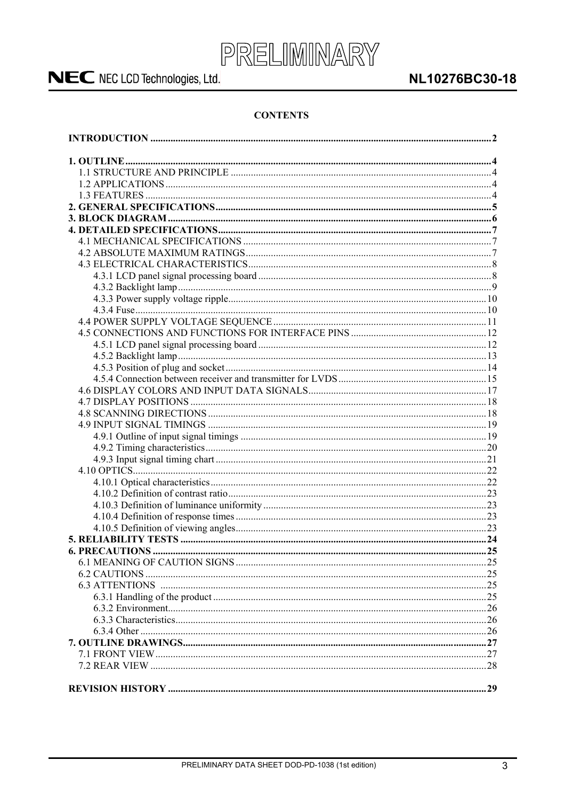

### **CONTENTS**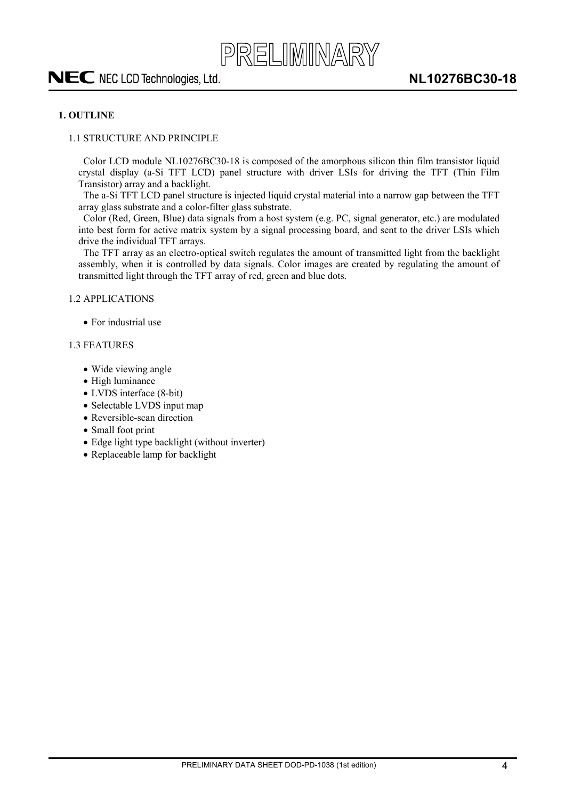### <span id="page-3-0"></span>**1. OUTLINE**

#### <span id="page-3-1"></span>1.1 STRUCTURE AND PRINCIPLE

Color LCD module NL10276BC30-18 is composed of the amorphous silicon thin film transistor liquid crystal display (a-Si TFT LCD) panel structure with driver LSIs for driving the TFT (Thin Film Transistor) array and a backlight.

PRELIMINARY

The a-Si TFT LCD panel structure is injected liquid crystal material into a narrow gap between the TFT array glass substrate and a color-filter glass substrate.

Color (Red, Green, Blue) data signals from a host system (e.g. PC, signal generator, etc.) are modulated into best form for active matrix system by a signal processing board, and sent to the driver LSIs which drive the individual TFT arrays.

The TFT array as an electro-optical switch regulates the amount of transmitted light from the backlight assembly, when it is controlled by data signals. Color images are created by regulating the amount of transmitted light through the TFT array of red, green and blue dots.

#### <span id="page-3-2"></span>1.2 APPLICATIONS

 $\bullet$  For industrial use

#### <span id="page-3-3"></span>1.3 FEATURES

- Wide viewing angle
- $\bullet$  High luminance
- LVDS interface (8-bit)
- Selectable LVDS input map
- Reversible-scan direction
- Small foot print
- $\bullet$  Edge light type backlight (without inverter)
- Replaceable lamp for backlight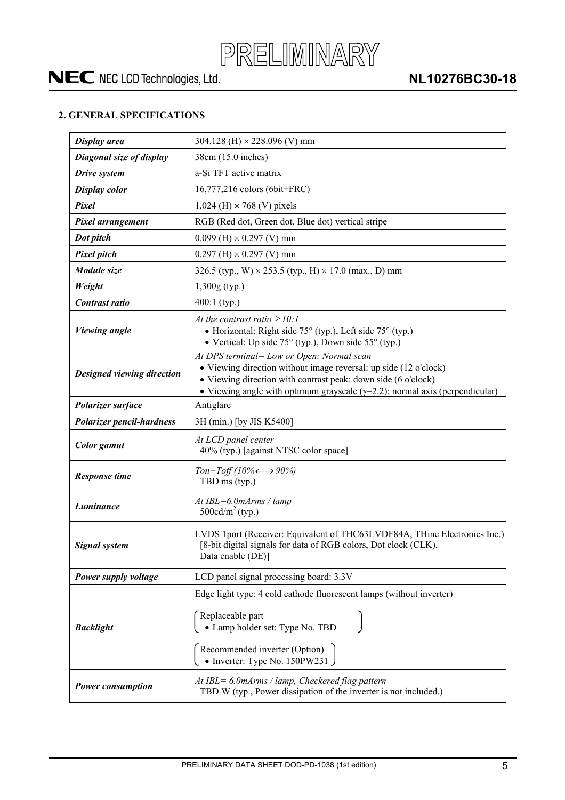

### <span id="page-4-0"></span>**2. GENERAL SPECIFICATIONS**

| Display area               | 304.128 (H) $\times$ 228.096 (V) mm                                                                                                                                                                                                                                   |  |  |  |
|----------------------------|-----------------------------------------------------------------------------------------------------------------------------------------------------------------------------------------------------------------------------------------------------------------------|--|--|--|
| Diagonal size of display   | 38cm (15.0 inches)                                                                                                                                                                                                                                                    |  |  |  |
| Drive system               | a-Si TFT active matrix                                                                                                                                                                                                                                                |  |  |  |
| <b>Display color</b>       | 16,777,216 colors (6bit+FRC)                                                                                                                                                                                                                                          |  |  |  |
| Pixel                      | $1,024$ (H) $\times$ 768 (V) pixels                                                                                                                                                                                                                                   |  |  |  |
| Pixel arrangement          | RGB (Red dot, Green dot, Blue dot) vertical stripe                                                                                                                                                                                                                    |  |  |  |
| Dot pitch                  | $0.099$ (H) $\times$ 0.297 (V) mm                                                                                                                                                                                                                                     |  |  |  |
| Pixel pitch                | $0.297$ (H) $\times$ 0.297 (V) mm                                                                                                                                                                                                                                     |  |  |  |
| Module size                | 326.5 (typ., W) $\times$ 253.5 (typ., H) $\times$ 17.0 (max., D) mm                                                                                                                                                                                                   |  |  |  |
| Weight                     | $1,300g$ (typ.)                                                                                                                                                                                                                                                       |  |  |  |
| Contrast ratio             | $400:1$ (typ.)                                                                                                                                                                                                                                                        |  |  |  |
| <b>Viewing angle</b>       | At the contrast ratio $\geq 10$ :<br>• Horizontal: Right side 75° (typ.), Left side 75° (typ.)<br>• Vertical: Up side $75^{\circ}$ (typ.), Down side $55^{\circ}$ (typ.)                                                                                              |  |  |  |
| Designed viewing direction | At DPS terminal= Low or Open: Normal scan<br>• Viewing direction without image reversal: up side (12 o'clock)<br>• Viewing direction with contrast peak: down side (6 o'clock)<br>• Viewing angle with optimum grayscale $(\gamma=2.2)$ : normal axis (perpendicular) |  |  |  |
| Polarizer surface          | Antiglare                                                                                                                                                                                                                                                             |  |  |  |
| Polarizer pencil-hardness  | 3H (min.) [by JIS K5400]                                                                                                                                                                                                                                              |  |  |  |
| Color gamut                | At LCD panel center<br>40% (typ.) [against NTSC color space]                                                                                                                                                                                                          |  |  |  |
| <b>Response time</b>       | Ton+Toff (10% $\leftarrow \rightarrow 90\%$ )<br>TBD ms (typ.)                                                                                                                                                                                                        |  |  |  |
| Luminance                  | $At IBL = 6.0 mArms / lamp$<br>500cd/ $m^2$ (typ.)                                                                                                                                                                                                                    |  |  |  |
| <b>Signal system</b>       | LVDS 1port (Receiver: Equivalent of THC63LVDF84A, THine Electronics Inc.)<br>[8-bit digital signals for data of RGB colors, Dot clock (CLK),<br>Data enable (DE)]                                                                                                     |  |  |  |
| Power supply voltage       | LCD panel signal processing board: 3.3V                                                                                                                                                                                                                               |  |  |  |
| <b>Backlight</b>           | Edge light type: 4 cold cathode fluorescent lamps (without inverter)<br>Replaceable part<br>• Lamp holder set: Type No. TBD<br>Recommended inverter (Option)<br>• Inverter: Type No. $150$ PW231                                                                      |  |  |  |
| <b>Power consumption</b>   | At IBL= 6.0mArms / lamp, Checkered flag pattern<br>TBD W (typ., Power dissipation of the inverter is not included.)                                                                                                                                                   |  |  |  |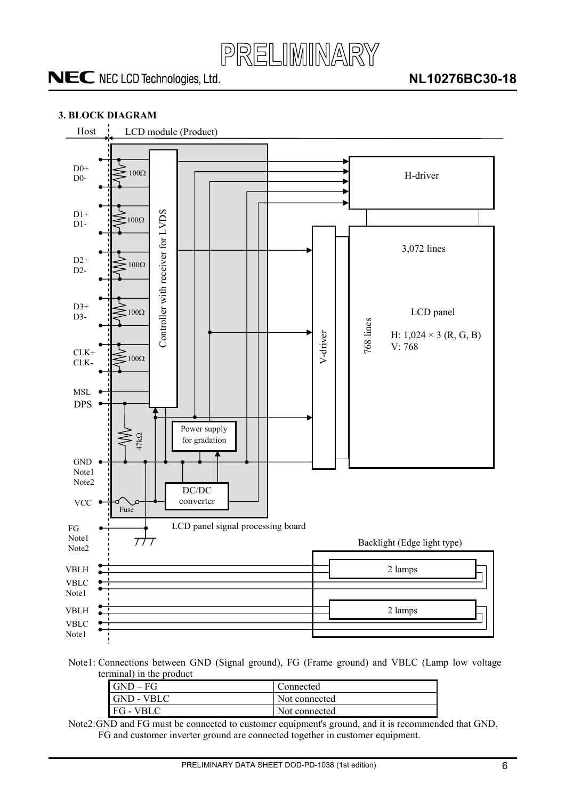

### <span id="page-5-0"></span>**3. BLOCK DIAGRAM**



Note1: Connections between GND (Signal ground), FG (Frame ground) and VBLC (Lamp low voltage terminal) in the product

| $GND - FG$ | Connected     |
|------------|---------------|
| GND - VBLC | Not connected |
| FG - VBLC  | Not connected |

Note2: GND and FG must be connected to customer equipment's ground, and it is recommended that GND, FG and customer inverter ground are connected together in customer equipment.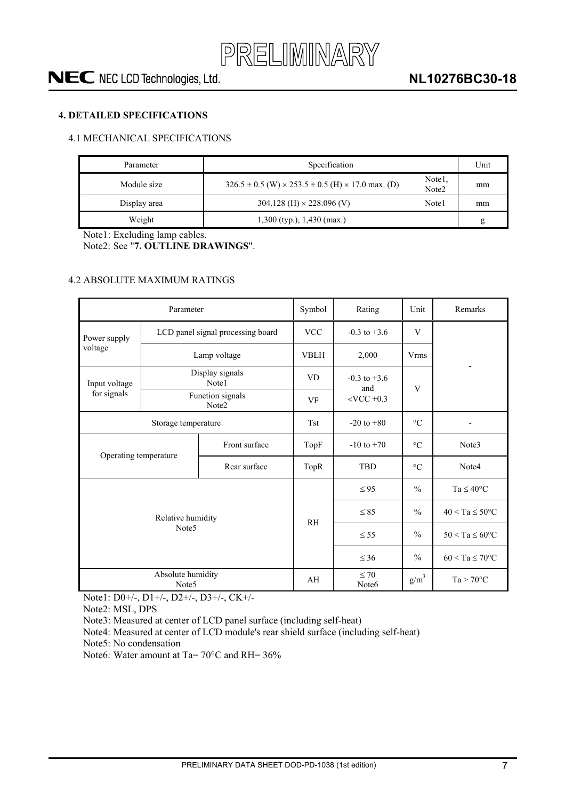

### <span id="page-6-0"></span>**4. DETAILED SPECIFICATIONS**

### <span id="page-6-1"></span>4.1 MECHANICAL SPECIFICATIONS

| Parameter    | Specification                                                         | Unit                        |    |
|--------------|-----------------------------------------------------------------------|-----------------------------|----|
| Module size  | $326.5 \pm 0.5$ (W) $\times 253.5 \pm 0.5$ (H) $\times 17.0$ max. (D) | Note1.<br>Note <sub>2</sub> | mm |
| Display area | 304.128 (H) $\times$ 228.096 (V)                                      | Note1                       | mm |
| Weight       | $1,300$ (typ.), $1,430$ (max.)                                        |                             | g  |

Note1: Excluding lamp cables.

Note2: See "**7. OUTLINE DRAWINGS**".

### <span id="page-6-2"></span>4.2 ABSOLUTE MAXIMUM RATINGS

|                       | Parameter                              | Symbol                            | Rating                         | Unit                    | Remarks            |                            |
|-----------------------|----------------------------------------|-----------------------------------|--------------------------------|-------------------------|--------------------|----------------------------|
| Power supply          |                                        | LCD panel signal processing board | <b>VCC</b>                     | $-0.3$ to $+3.6$        | V                  |                            |
| voltage               |                                        | Lamp voltage                      | <b>VBLH</b>                    | 2,000                   | <b>Vrms</b>        |                            |
| Input voltage         |                                        | Display signals<br>Note1          | <b>VD</b>                      | $-0.3$ to $+3.6$<br>and |                    |                            |
| for signals           |                                        | Function signals<br>Note2         | VF                             | $<$ VCC $+0.3$          | V                  |                            |
| Storage temperature   |                                        |                                   | <b>Tst</b>                     | $-20$ to $+80$          | $\rm ^{\circ}C$    |                            |
| Front surface         |                                        |                                   | TopF                           | $-10$ to $+70$          | $\rm ^{\circ}C$    | Note3                      |
| Operating temperature |                                        | Rear surface                      | TopR                           | <b>TBD</b>              | $\rm ^{\circ}C$    | Note4                      |
|                       |                                        |                                   |                                | $\leq 95$               | $\frac{0}{0}$      | $Ta \leq 40^{\circ}C$      |
|                       | Relative humidity                      |                                   | <b>RH</b>                      | $\leq 85$               | $\frac{0}{0}$      | $40 < Ta \leq 50^{\circ}C$ |
| Note <sub>5</sub>     |                                        |                                   |                                | $\leq$ 55               | $\frac{0}{0}$      | $50 < Ta \leq 60^{\circ}C$ |
|                       |                                        |                                   |                                | $\leq 36$               | $\frac{0}{0}$      | $60 < Ta \le 70$ °C        |
|                       | Absolute humidity<br>Note <sub>5</sub> | AH                                | $\leq 70$<br>Note <sub>6</sub> | $g/m^3$                 | $Ta > 70^{\circ}C$ |                            |

Note1: D0+/-, D1+/-, D2+/-, D3+/-, CK+/-

Note2: MSL, DPS

Note3: Measured at center of LCD panel surface (including self-heat)

Note4: Measured at center of LCD module's rear shield surface (including self-heat)

Note5: No condensation

Note6: Water amount at Ta= 70°C and RH= 36%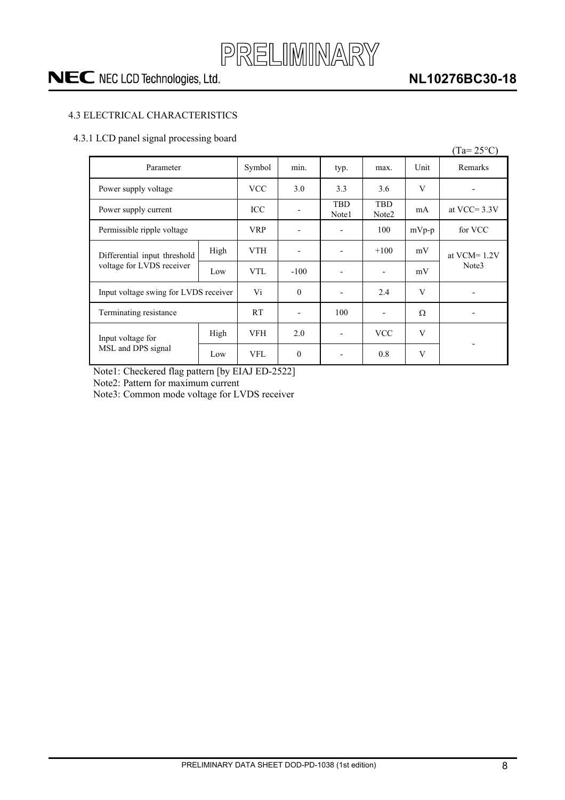

### **NL10276BC30-18**

### <span id="page-7-0"></span>4.3 ELECTRICAL CHARACTERISTICS

### <span id="page-7-1"></span>4.3.1 LCD panel signal processing board

|                                         |      |            |                |                     |                                 |         | $(Ta=25^{\circ}C)$       |
|-----------------------------------------|------|------------|----------------|---------------------|---------------------------------|---------|--------------------------|
| Parameter                               |      | Symbol     | min.           | typ.                | max.                            | Unit    | Remarks                  |
| Power supply voltage                    |      | <b>VCC</b> | 3.0            | 3.3                 | 3.6                             | V       | $\overline{\phantom{0}}$ |
| Power supply current                    |      | ICC        |                | <b>TBD</b><br>Note1 | <b>TBD</b><br>Note <sub>2</sub> | mA      | at VCC= $3.3V$           |
| Permissible ripple voltage              |      | <b>VRP</b> |                |                     | 100                             | $mVp-p$ | for VCC                  |
| Differential input threshold            | High | <b>VTH</b> |                |                     | $+100$                          | mV      | at VCM= $1.2V$           |
| voltage for LVDS receiver               | Low  | <b>VTL</b> | $-100$         |                     | $\overline{\phantom{a}}$        | mV      | Note3                    |
| Input voltage swing for LVDS receiver   |      | Vi         | $\theta$       |                     | 2.4                             | V       | -                        |
| Terminating resistance                  |      | <b>RT</b>  | $\blacksquare$ | 100                 | $\overline{\phantom{a}}$        | Ω       |                          |
| Input voltage for<br>MSL and DPS signal | High | <b>VFH</b> | 2.0            |                     | <b>VCC</b>                      | V       |                          |
|                                         | Low  | <b>VFL</b> | $\Omega$       |                     | 0.8                             | V       |                          |

Note1: Checkered flag pattern [by EIAJ ED-2522]

Note2: Pattern for maximum current

Note3: Common mode voltage for LVDS receiver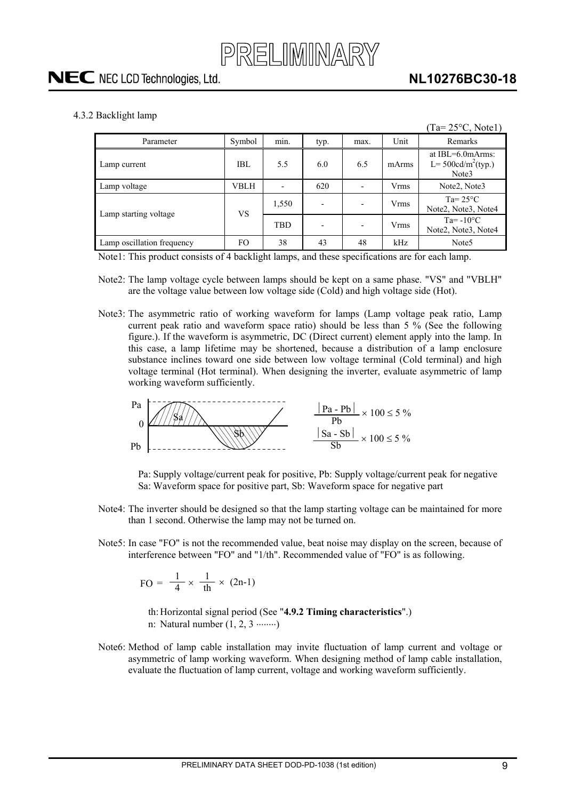<span id="page-8-0"></span>4.3.2 Backlight lamp

|                            |        |       |                          |                          |             | $(Ta=25\textdegree C, Note1)$                             |
|----------------------------|--------|-------|--------------------------|--------------------------|-------------|-----------------------------------------------------------|
| Parameter                  | Symbol | min.  | typ.                     | max.                     | Unit        | Remarks                                                   |
| Lamp current               | IBL    | 5.5   | 6.0                      | 6.5                      | mArms       | at $IBL=6.0$ m $Arms$ :<br>L= $500cd/m^2$ (typ.)<br>Note3 |
| Lamp voltage               | VBLH   |       | 620                      | $\blacksquare$           | <b>Vrms</b> | Note <sub>2</sub> , Note <sub>3</sub>                     |
| Lamp starting voltage      | VS     | 1,550 | $\overline{\phantom{0}}$ | $\overline{\phantom{a}}$ | <b>Vrms</b> | Ta= $25^{\circ}$ C<br>Note2, Note3, Note4                 |
|                            |        | TBD   |                          | $\overline{\phantom{a}}$ | <b>Vrms</b> | $Ta = -10^{\circ}C$<br>Note2, Note3, Note4                |
| Lamp oscillation frequency | FO     | 38    | 43                       | 48                       | kHz         | Note <sub>5</sub>                                         |

Note1: This product consists of 4 backlight lamps, and these specifications are for each lamp.

- Note2: The lamp voltage cycle between lamps should be kept on a same phase. "VS" and "VBLH" are the voltage value between low voltage side (Cold) and high voltage side (Hot).
- Note3: The asymmetric ratio of working waveform for lamps (Lamp voltage peak ratio, Lamp current peak ratio and waveform space ratio) should be less than 5 % (See the following figure.). If the waveform is asymmetric, DC (Direct current) element apply into the lamp. In this case, a lamp lifetime may be shortened, because a distribution of a lamp enclosure substance inclines toward one side between low voltage terminal (Cold terminal) and high voltage terminal (Hot terminal). When designing the inverter, evaluate asymmetric of lamp working waveform sufficiently.



Pa: Supply voltage/current peak for positive, Pb: Supply voltage/current peak for negative Sa: Waveform space for positive part, Sb: Waveform space for negative part

- Note4: The inverter should be designed so that the lamp starting voltage can be maintained for more than 1 second. Otherwise the lamp may not be turned on.
- Note5: In case "FO" is not the recommended value, beat noise may display on the screen, because of interference between "FO" and "1/th". Recommended value of "FO" is as following.

$$
FO = \frac{1}{4} \times \frac{1}{th} \times (2n-1)
$$

th: Horizontal signal period (See "**4.9.2 Timing characteristics**".) n: Natural number  $(1, 2, 3 \dots)$ 

Note6: Method of lamp cable installation may invite fluctuation of lamp current and voltage or asymmetric of lamp working waveform. When designing method of lamp cable installation, evaluate the fluctuation of lamp current, voltage and working waveform sufficiently.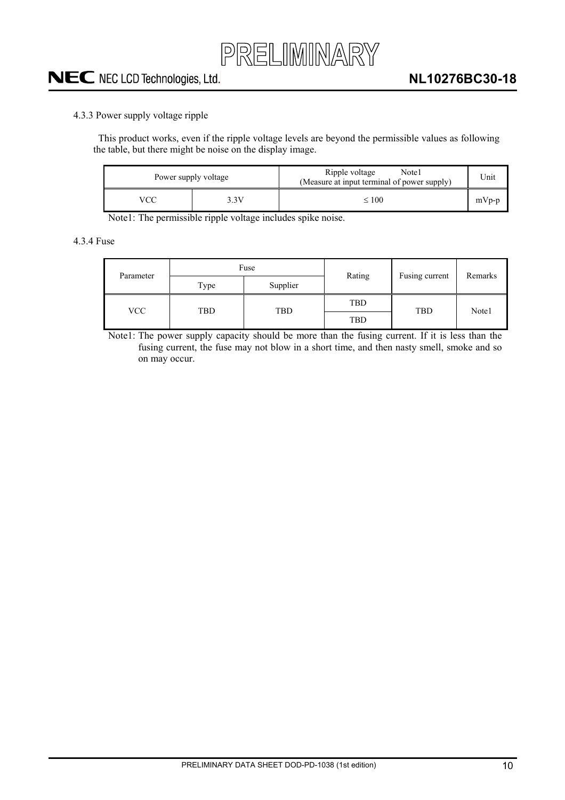

### <span id="page-9-0"></span>4.3.3 Power supply voltage ripple

This product works, even if the ripple voltage levels are beyond the permissible values as following the table, but there might be noise on the display image.

| Power supply voltage |  | Ripple voltage<br>Note1<br>(Measure at input terminal of power supply) | Unit    |
|----------------------|--|------------------------------------------------------------------------|---------|
| VCC<br>3.3V          |  | $\leq 100$                                                             | $mVp-p$ |

Note1: The permissible ripple voltage includes spike noise.

<span id="page-9-1"></span>4.3.4 Fuse

| Parameter  | Fuse |            | Rating | Fusing current | Remarks |
|------------|------|------------|--------|----------------|---------|
|            | Type | Supplier   |        |                |         |
| <b>VCC</b> | TBD  | <b>TBD</b> | TBD    | <b>TBD</b>     | Note1   |
|            |      |            | TBD    |                |         |

Note1: The power supply capacity should be more than the fusing current. If it is less than the fusing current, the fuse may not blow in a short time, and then nasty smell, smoke and so on may occur.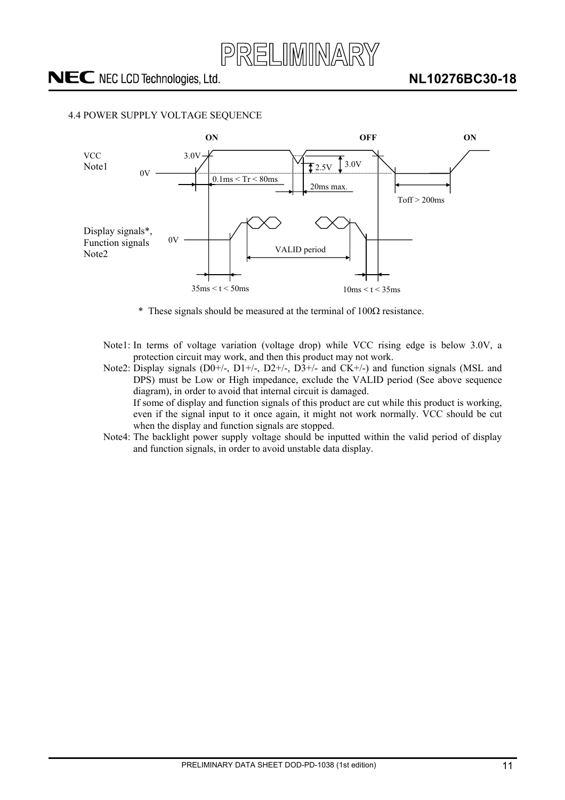

### <span id="page-10-0"></span>4.4 POWER SUPPLY VOLTAGE SEQUENCE



- \* These signals should be measured at the terminal of  $100\Omega$  resistance.
- Note1: In terms of voltage variation (voltage drop) while VCC rising edge is below 3.0V, a protection circuit may work, and then this product may not work.
- Note2: Display signals (D0+/-, D1+/-, D2+/-, D3+/- and CK+/-) and function signals (MSL and DPS) must be Low or High impedance, exclude the VALID period (See above sequence diagram), in order to avoid that internal circuit is damaged. If some of display and function signals of this product are cut while this product is working, even if the signal input to it once again, it might not work normally. VCC should be cut when the display and function signals are stopped.
- Note4: The backlight power supply voltage should be inputted within the valid period of display and function signals, in order to avoid unstable data display.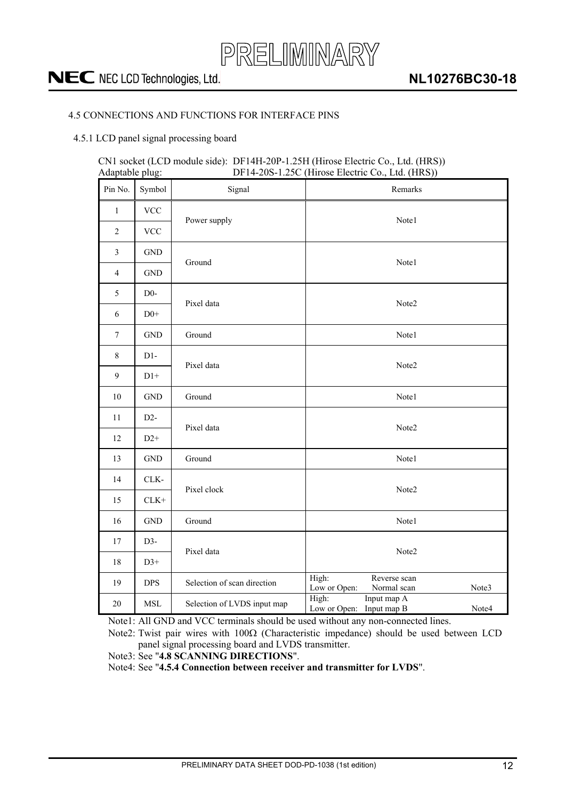

### <span id="page-11-0"></span>4.5 CONNECTIONS AND FUNCTIONS FOR INTERFACE PINS

#### <span id="page-11-1"></span>4.5.1 LCD panel signal processing board

#### CN1 socket (LCD module side): DF14H-20P-1.25H (Hirose Electric Co., Ltd. (HRS))  $DF14-20S-1.25C$  (Hirose Electric Co., Ltd. (HRS))

| Pin No.          | Symbol               | Signal                      | Remarks                                                       |  |  |
|------------------|----------------------|-----------------------------|---------------------------------------------------------------|--|--|
| $\mathbf{1}$     | <b>VCC</b>           |                             | Note1                                                         |  |  |
| $\overline{2}$   | <b>VCC</b>           | Power supply                |                                                               |  |  |
| $\mathfrak{Z}$   | <b>GND</b>           |                             |                                                               |  |  |
| $\overline{4}$   | <b>GND</b>           | Ground                      | Note1                                                         |  |  |
| 5                | $D0-$                |                             |                                                               |  |  |
| 6                | $D0+$                | Pixel data                  | Note2                                                         |  |  |
| $\boldsymbol{7}$ | $\operatorname{GND}$ | Ground                      | Note1                                                         |  |  |
| $\,8\,$          | $D1-$                | Pixel data                  | Note2                                                         |  |  |
| 9                | $D1+$                |                             |                                                               |  |  |
| $10\,$           | <b>GND</b>           | Ground                      | Note1                                                         |  |  |
| 11               | $D2-$                | Pixel data                  | Note2                                                         |  |  |
| 12               | $D2+$                |                             |                                                               |  |  |
| 13               | $\operatorname{GND}$ | Ground                      | Note1                                                         |  |  |
| 14               | CLK-                 | Pixel clock                 | Note2                                                         |  |  |
| 15               | $CLK+$               |                             |                                                               |  |  |
| 16               | <b>GND</b>           | Ground                      | Note1                                                         |  |  |
| 17               | $D3-$                | Pixel data                  | Note2                                                         |  |  |
| 18               | $D3+$                |                             |                                                               |  |  |
| 19               | <b>DPS</b>           | Selection of scan direction | High:<br>Reverse scan<br>Low or Open:<br>Note3<br>Normal scan |  |  |
| $20\,$           | <b>MSL</b>           | Selection of LVDS input map | High:<br>Input map A<br>Low or Open:<br>Input map B<br>Note4  |  |  |

Note1: All GND and VCC terminals should be used without any non-connected lines.

Note2: Twist pair wires with  $100\Omega$  (Characteristic impedance) should be used between LCD panel signal processing board and LVDS transmitter.

Note3: See "**4.8 SCANNING DIRECTIONS**".

Note4: See "**4.5.4 Connection between receiver and transmitter for LVDS**".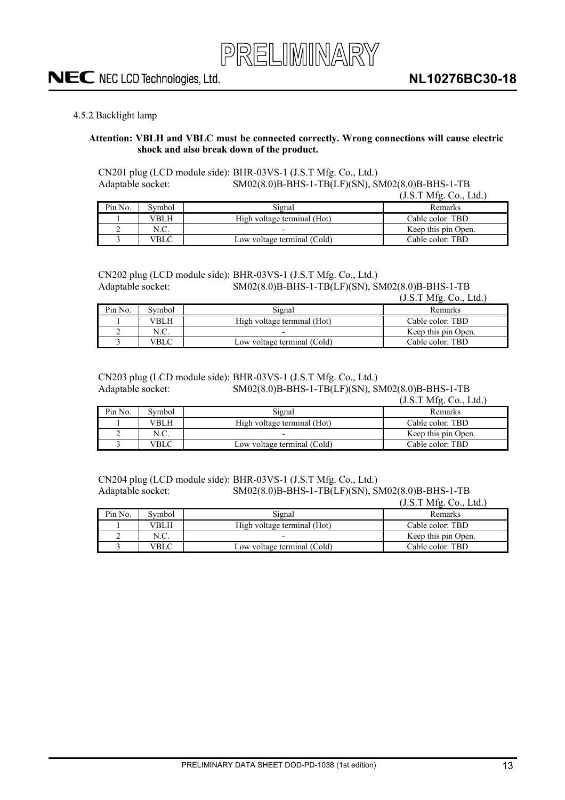### <span id="page-12-0"></span>4.5.2 Backlight lamp

#### **Attention: VBLH and VBLC must be connected correctly. Wrong connections will cause electric shock and also break down of the product.**

CN201 plug (LCD module side): BHR-03VS-1 (J.S.T Mfg. Co., Ltd.) Adaptable socket: SM02(8.0)B-BHS-1-TB(LF)(SN), SM02(8.0)B-BHS-1-TB  $(T<sub>0</sub>, T<sub>0</sub>, T<sub>0</sub>)$ 

|         |        |                             | (J.S.1~MIG.~CO., LIG.) |
|---------|--------|-----------------------------|------------------------|
| Pin No. | Symbol | Signal                      | <b>Remarks</b>         |
|         | VBLH   | High voltage terminal (Hot) | Cable color: TBD       |
|         | N.C.   |                             | Keep this pin Open.    |
|         | √BLC   | Low voltage terminal (Cold) | Cable color: TBD       |

## CN202 plug (LCD module side): BHR-03VS-1 (J.S.T Mfg. Co., Ltd.)<br>Adaptable socket: SM02(8.0)B-BHS-1-TB(LF)(SN), SI

#### SM02(8.0)B-BHS-1-TB(LF)(SN), SM02(8.0)B-BHS-1-TB  $(1 \times TM6$  Co., Ltd.)

|         |        |                             | $(0.5.1 \text{ MHz}, \cup 0.1 \text{ MHz})$ |
|---------|--------|-----------------------------|---------------------------------------------|
| Pin No. | Symbol | Signal                      | Remarks                                     |
|         | VBLH   | High voltage terminal (Hot) | Cable color: TBD                            |
|         | N.C.   |                             | Keep this pin Open.                         |
|         | √BLC   | Low voltage terminal (Cold) | Cable color: TBD                            |

### CN203 plug (LCD module side): BHR-03VS-1 (J.S.T Mfg. Co., Ltd.) Adaptable socket: SM02(8.0)B-BHS-1-TB(LF)(SN), SM02(8.0)B-BHS-1-TB

(J.S.T Mfg. Co., Ltd.)

| Pin No. | Svmbol | Signal                      | Remarks             |
|---------|--------|-----------------------------|---------------------|
|         | VBLH   | High voltage terminal (Hot) | Cable color: TBD    |
|         | N.C.   |                             | Keep this pin Open. |
|         | VBLC   | Low voltage terminal (Cold) | Cable color: TBD    |

#### CN204 plug (LCD module side): BHR-03VS-1 (J.S.T Mfg. Co., Ltd.) Adaptable socket: SM02(8.0)B-BHS-1-TB(LF)(SN), SM02(8.0)B-BHS-1-TB

(J.S.T Mfg. Co., Ltd.)

| Pin No. | Symbol | Signal                      | <b>Remarks</b>      |
|---------|--------|-----------------------------|---------------------|
|         | VBLH   | High voltage terminal (Hot) | Cable color: TBD    |
|         | N.C.   |                             | Keep this pin Open. |
|         | VBLC   | Low voltage terminal (Cold) | Cable color: TBD    |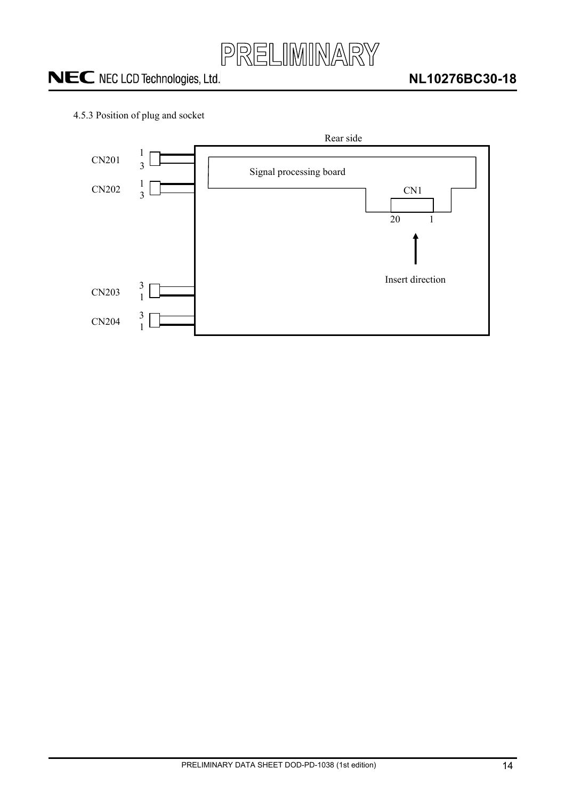

<span id="page-13-0"></span>4.5.3 Position of plug and socket

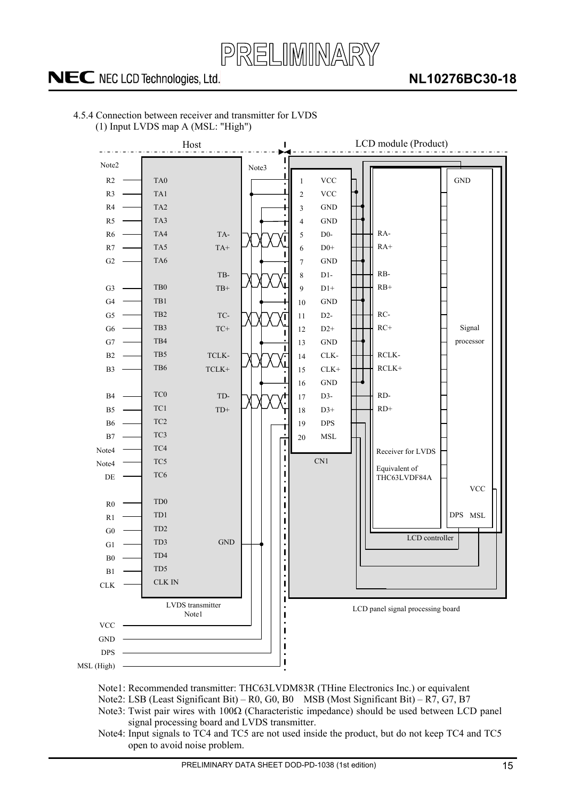

### **NL10276BC30-18**



<span id="page-14-0"></span>4.5.4 Connection between receiver and transmitter for LVDS (1) Input LVDS map A (MSL: "High")

- Note1: Recommended transmitter: THC63LVDM83R (THine Electronics Inc.) or equivalent
- Note2: LSB (Least Significant Bit) R0, G0, B0 MSB (Most Significant Bit) R7, G7, B7
- Note3: Twist pair wires with  $100\Omega$  (Characteristic impedance) should be used between LCD panel signal processing board and LVDS transmitter.
- Note4: Input signals to TC4 and TC5 are not used inside the product, but do not keep TC4 and TC5 open to avoid noise problem.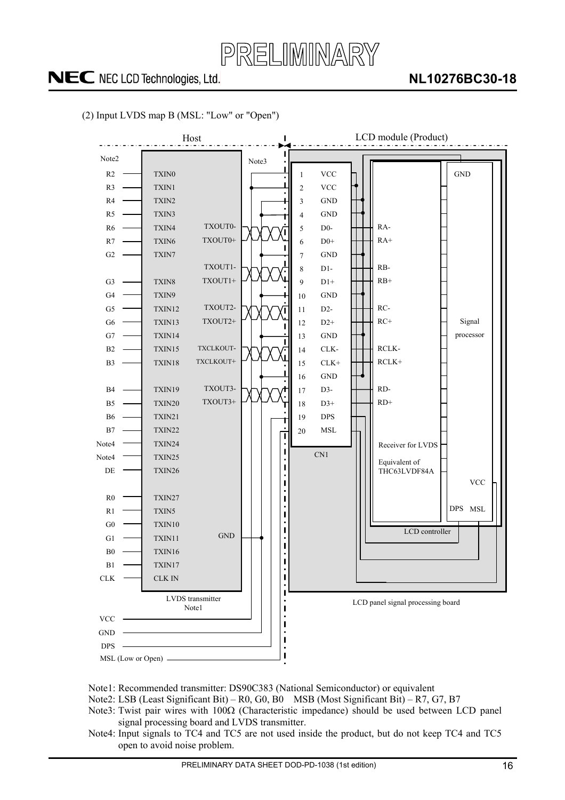

### **NL10276BC30-18**



### (2) Input LVDS map B (MSL: "Low" or "Open")

- Note1: Recommended transmitter: DS90C383 (National Semiconductor) or equivalent
- Note2: LSB (Least Significant Bit) R0, G0, B0 MSB (Most Significant Bit) R7, G7, B7
- Note3: Twist pair wires with  $100\Omega$  (Characteristic impedance) should be used between LCD panel signal processing board and LVDS transmitter.
- Note4: Input signals to TC4 and TC5 are not used inside the product, but do not keep TC4 and TC5 open to avoid noise problem.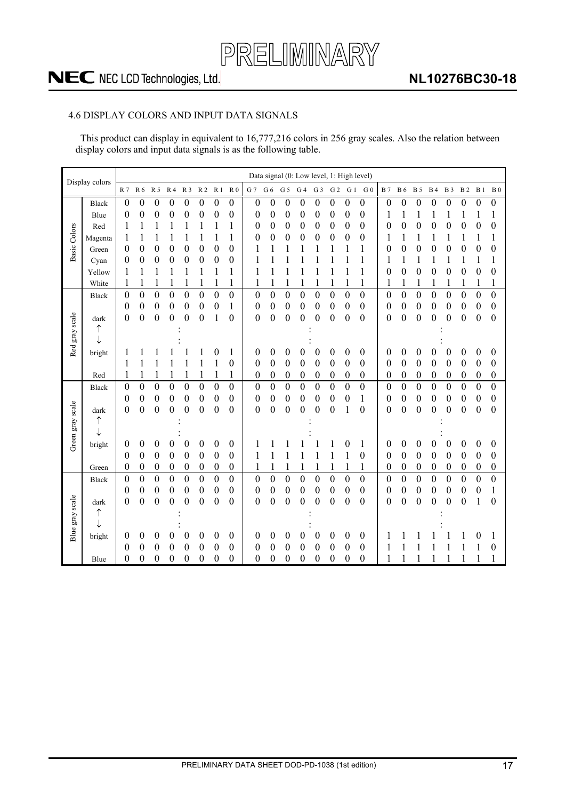

### **NL10276BC30-18**

### <span id="page-16-0"></span>4.6 DISPLAY COLORS AND INPUT DATA SIGNALS

This product can display in equivalent to 16,777,216 colors in 256 gray scales. Also the relation between display colors and input data signals is as the following table.

|                     | Display colors |                  |                  |                  |                  |                  |                  |                  |                  |                  |                  |                  |                  |                  |                  |                  | Data signal (0: Low level, 1: High level) |                  |                  |                  |                  |                  |                  |                  |                   |
|---------------------|----------------|------------------|------------------|------------------|------------------|------------------|------------------|------------------|------------------|------------------|------------------|------------------|------------------|------------------|------------------|------------------|-------------------------------------------|------------------|------------------|------------------|------------------|------------------|------------------|------------------|-------------------|
|                     |                | R 7              | R 6              | R 5              | R 4              | R <sub>3</sub>   | R <sub>2</sub>   | R <sub>1</sub>   | R <sub>0</sub>   | G 7              | G 6              | G <sub>5</sub>   | G <sub>4</sub>   | G <sub>3</sub>   | G <sub>2</sub>   | G <sub>1</sub>   | G <sub>0</sub>                            | <b>B</b> 7       | <b>B6</b>        | <b>B</b> 5       | <b>B4</b>        | <b>B</b> 3       | <b>B2</b>        | B <sub>1</sub>   | $\, {\bf B} \, 0$ |
|                     | <b>Black</b>   | $\boldsymbol{0}$ | $\boldsymbol{0}$ | $\boldsymbol{0}$ | $\boldsymbol{0}$ | $\boldsymbol{0}$ | $\boldsymbol{0}$ | $\boldsymbol{0}$ | $\boldsymbol{0}$ | 0                | $\boldsymbol{0}$ | 0                | $\boldsymbol{0}$ | $\boldsymbol{0}$ | $\boldsymbol{0}$ | $\boldsymbol{0}$ | $\boldsymbol{0}$                          | $\boldsymbol{0}$ | $\boldsymbol{0}$ | $\boldsymbol{0}$ | $\boldsymbol{0}$ | $\boldsymbol{0}$ | $\boldsymbol{0}$ | $\boldsymbol{0}$ | $\boldsymbol{0}$  |
|                     | Blue           | $\boldsymbol{0}$ | 0                | 0                | 0                | 0                | 0                | 0                | $\boldsymbol{0}$ | 0                | 0                | 0                | 0                | 0                | 0                | 0                | $\boldsymbol{0}$                          |                  | 1                | 1                | 1                | 1                | 1                | 1                | 1                 |
|                     | Red            |                  |                  | 1                |                  |                  | 1                | 1                |                  | 0                | 0                | 0                | 0                | 0                | 0                | 0                | $\boldsymbol{0}$                          | 0                | 0                | 0                | 0                | 0                | 0                | 0                | $\boldsymbol{0}$  |
|                     | Magenta        |                  |                  |                  |                  |                  | 1                | 1                | 1                | 0                | 0                | 0                | 0                | 0                | $\boldsymbol{0}$ | $\boldsymbol{0}$ | $\boldsymbol{0}$                          |                  | 1                | 1                | 1                | 1                | 1                | 1                | 1                 |
| <b>Basic Colors</b> | Green          | 0                | 0                | 0                | $\boldsymbol{0}$ | $\boldsymbol{0}$ | $\boldsymbol{0}$ | $\boldsymbol{0}$ | $\boldsymbol{0}$ |                  |                  |                  |                  |                  |                  |                  |                                           | 0                | $\boldsymbol{0}$ | $\boldsymbol{0}$ | $\boldsymbol{0}$ | $\boldsymbol{0}$ | $\boldsymbol{0}$ | $\boldsymbol{0}$ | $\boldsymbol{0}$  |
|                     | Cyan           | 0                | 0                | 0                | 0                | 0                | 0                | 0                | $\boldsymbol{0}$ |                  |                  |                  |                  |                  |                  |                  |                                           |                  | 1                | 1                |                  | 1                |                  | 1                | 1                 |
|                     | Yellow         |                  |                  |                  |                  | 1                | 1                | 1                | 1                |                  | 1                | 1                |                  |                  |                  |                  | 1                                         | 0                | 0                | 0                | $\boldsymbol{0}$ | $\boldsymbol{0}$ | $\boldsymbol{0}$ | 0                | $\boldsymbol{0}$  |
|                     | White          |                  | 1                |                  | 1                | 1                | 1                | 1                | 1                |                  | 1                |                  | 1                | 1                | 1                | 1                | 1                                         | 1                | 1                | 1                | 1                | 1                | 1                | 1                | $\mathbf{1}$      |
|                     | <b>Black</b>   | $\boldsymbol{0}$ | $\boldsymbol{0}$ | $\boldsymbol{0}$ | $\boldsymbol{0}$ | $\boldsymbol{0}$ | $\boldsymbol{0}$ | $\overline{0}$   | $\boldsymbol{0}$ | $\boldsymbol{0}$ | $\boldsymbol{0}$ | $\boldsymbol{0}$ | $\boldsymbol{0}$ | $\boldsymbol{0}$ | $\boldsymbol{0}$ | $\boldsymbol{0}$ | $\boldsymbol{0}$                          | $\boldsymbol{0}$ | $\boldsymbol{0}$ | $\boldsymbol{0}$ | $\boldsymbol{0}$ | $\boldsymbol{0}$ | $\overline{0}$   | $\boldsymbol{0}$ | $\boldsymbol{0}$  |
|                     |                | 0                | 0                | 0                | $\boldsymbol{0}$ | $\boldsymbol{0}$ | $\boldsymbol{0}$ | $\boldsymbol{0}$ | 1                | 0                | 0                | 0                | 0                | 0                | $\boldsymbol{0}$ | $\boldsymbol{0}$ | 0                                         | 0                | $\boldsymbol{0}$ | $\boldsymbol{0}$ | $\boldsymbol{0}$ | $\boldsymbol{0}$ | $\boldsymbol{0}$ | $\boldsymbol{0}$ | $\boldsymbol{0}$  |
|                     | dark           | 0                | $\boldsymbol{0}$ | $\boldsymbol{0}$ | $\boldsymbol{0}$ | $\boldsymbol{0}$ | $\boldsymbol{0}$ | 1                | $\boldsymbol{0}$ | 0                | $\boldsymbol{0}$ | $\boldsymbol{0}$ | $\boldsymbol{0}$ | $\boldsymbol{0}$ | $\boldsymbol{0}$ | $\boldsymbol{0}$ | $\boldsymbol{0}$                          | 0                | $\boldsymbol{0}$ | $\boldsymbol{0}$ | $\boldsymbol{0}$ | $\boldsymbol{0}$ | $\boldsymbol{0}$ | $\boldsymbol{0}$ | $\boldsymbol{0}$  |
|                     | ↑              |                  |                  |                  |                  |                  |                  |                  |                  |                  |                  |                  |                  |                  |                  |                  |                                           |                  |                  |                  |                  |                  |                  |                  |                   |
| Red gray scale      | ↓              |                  |                  |                  |                  |                  |                  |                  |                  |                  |                  |                  |                  |                  |                  |                  |                                           |                  |                  |                  |                  |                  |                  |                  |                   |
|                     | bright         |                  |                  |                  |                  |                  |                  | 0                | 1                | 0                | 0                | 0                | 0                | 0                | 0                | 0                | 0                                         | 0                | $\boldsymbol{0}$ | 0                | $\boldsymbol{0}$ | $\boldsymbol{0}$ | $\boldsymbol{0}$ | 0                | $\boldsymbol{0}$  |
|                     |                |                  | 1                |                  |                  |                  |                  |                  | $\boldsymbol{0}$ | 0                | 0                | $\boldsymbol{0}$ | 0                | 0                | 0                | 0                | 0                                         | 0                | 0                | 0                | $\boldsymbol{0}$ | $\boldsymbol{0}$ | 0                | $\boldsymbol{0}$ | $\boldsymbol{0}$  |
|                     | Red            |                  | 1                | 1                | 1                | 1                | 1                | 1                | 1                | 0                | 0                | 0                | 0                | $\boldsymbol{0}$ | $\boldsymbol{0}$ | $\boldsymbol{0}$ | $\boldsymbol{0}$                          | 0                | 0                | $\boldsymbol{0}$ | $\boldsymbol{0}$ | $\boldsymbol{0}$ | $\boldsymbol{0}$ | $\boldsymbol{0}$ | $\boldsymbol{0}$  |
|                     | <b>Black</b>   | 0                | $\overline{0}$   | $\boldsymbol{0}$ | $\boldsymbol{0}$ | $\boldsymbol{0}$ | $\overline{0}$   | $\boldsymbol{0}$ | $\boldsymbol{0}$ | $\boldsymbol{0}$ | $\boldsymbol{0}$ | $\boldsymbol{0}$ | $\boldsymbol{0}$ | $\overline{0}$   | $\overline{0}$   | $\boldsymbol{0}$ | $\boldsymbol{0}$                          | $\boldsymbol{0}$ | $\boldsymbol{0}$ | $\boldsymbol{0}$ | $\boldsymbol{0}$ | $\boldsymbol{0}$ | $\boldsymbol{0}$ | $\boldsymbol{0}$ | $\boldsymbol{0}$  |
|                     |                | 0                | 0                | 0                | 0                | 0                | 0                | 0                | $\boldsymbol{0}$ | 0                | 0                | 0                | 0                | 0                | 0                | 0                | 1                                         | 0                | 0                | 0                | $\theta$         | $\theta$         | 0                | $\boldsymbol{0}$ | $\boldsymbol{0}$  |
|                     | dark           | 0                | 0                | 0                | 0                | 0                | 0                | $\boldsymbol{0}$ | $\boldsymbol{0}$ | 0                | 0                | 0                | 0                | 0                | 0                | 1                | $\boldsymbol{0}$                          | 0                | 0                | 0                | 0                | 0                | 0                | $\boldsymbol{0}$ | $\boldsymbol{0}$  |
|                     | ↑              |                  |                  |                  |                  |                  |                  |                  |                  |                  |                  |                  |                  |                  |                  |                  |                                           |                  |                  |                  |                  |                  |                  |                  |                   |
| Green gray scale    | ↓              |                  |                  |                  |                  |                  |                  |                  |                  |                  |                  |                  |                  |                  |                  |                  |                                           |                  |                  |                  |                  |                  |                  |                  |                   |
|                     | bright         | 0                | 0                | 0                | 0                | $\boldsymbol{0}$ | 0                | 0                | $\boldsymbol{0}$ |                  |                  |                  |                  |                  |                  | 0                | 1                                         | 0                | 0                | 0                | $\boldsymbol{0}$ | $\boldsymbol{0}$ | 0                | 0                | 0                 |
|                     |                | $\theta$         | $\boldsymbol{0}$ | 0                | $\boldsymbol{0}$ | $\boldsymbol{0}$ | $\boldsymbol{0}$ | $\boldsymbol{0}$ | $\boldsymbol{0}$ | 1                |                  |                  |                  |                  | 1                |                  | $\boldsymbol{0}$                          | 0                | $\boldsymbol{0}$ | $\boldsymbol{0}$ | $\boldsymbol{0}$ | $\boldsymbol{0}$ | $\boldsymbol{0}$ | $\boldsymbol{0}$ | $\boldsymbol{0}$  |
|                     | Green          | 0                | 0                | 0                | $\boldsymbol{0}$ | $\boldsymbol{0}$ | $\boldsymbol{0}$ | $\boldsymbol{0}$ | $\boldsymbol{0}$ | 1                | 1                |                  | 1                | 1                | 1                | 1                | $\mathbf{1}$                              | 0                | $\boldsymbol{0}$ | $\boldsymbol{0}$ | $\boldsymbol{0}$ | $\boldsymbol{0}$ | $\boldsymbol{0}$ | $\boldsymbol{0}$ | $\boldsymbol{0}$  |
|                     | <b>Black</b>   | $\boldsymbol{0}$ | $\overline{0}$   | $\overline{0}$   | $\overline{0}$   | $\overline{0}$   | $\overline{0}$   | $\overline{0}$   | $\boldsymbol{0}$ | $\overline{0}$   | $\overline{0}$   | $\boldsymbol{0}$ | $\overline{0}$   | $\overline{0}$   | $\overline{0}$   | $\overline{0}$   | $\overline{0}$                            | $\overline{0}$   | $\overline{0}$   | $\overline{0}$   | $\overline{0}$   | $\overline{0}$   | $\overline{0}$   | $\mathbf{0}$     | $\overline{0}$    |
|                     |                | 0                | 0                | 0                | $\boldsymbol{0}$ | $\boldsymbol{0}$ | $\boldsymbol{0}$ | $\boldsymbol{0}$ | $\boldsymbol{0}$ | 0                | 0                | 0                | 0                | 0                | $\boldsymbol{0}$ | $\boldsymbol{0}$ | $\boldsymbol{0}$                          | 0                | $\boldsymbol{0}$ | $\boldsymbol{0}$ | $\boldsymbol{0}$ | $\boldsymbol{0}$ | $\boldsymbol{0}$ | $\boldsymbol{0}$ | $\mathbf{1}$      |
|                     | dark           | 0                | 0                | $\boldsymbol{0}$ | $\boldsymbol{0}$ | $\boldsymbol{0}$ | $\boldsymbol{0}$ | $\boldsymbol{0}$ | $\boldsymbol{0}$ | 0                | 0                | $\boldsymbol{0}$ | $\boldsymbol{0}$ | $\boldsymbol{0}$ | $\boldsymbol{0}$ | $\boldsymbol{0}$ | $\boldsymbol{0}$                          | 0                | $\boldsymbol{0}$ | $\boldsymbol{0}$ | $\theta$         | $\boldsymbol{0}$ | 0                | 1                | $\boldsymbol{0}$  |
|                     | ↑              |                  |                  |                  |                  |                  |                  |                  |                  |                  |                  |                  |                  |                  |                  |                  |                                           |                  |                  |                  |                  |                  |                  |                  |                   |
|                     | J              |                  |                  |                  |                  |                  |                  |                  |                  |                  |                  |                  |                  |                  |                  |                  |                                           |                  |                  |                  |                  |                  |                  |                  |                   |
| Blue gray scale     | bright         | 0                | 0                | 0                | 0                | 0                | 0                | 0                | $\boldsymbol{0}$ | 0                | 0                | 0                | 0                | 0                | 0                | 0                | $\boldsymbol{0}$                          |                  |                  |                  |                  |                  |                  | 0                | 1                 |
|                     |                | 0                | 0                | 0                | 0                | 0                | 0                | 0                | $\boldsymbol{0}$ | 0                | 0                | 0                | 0                | 0                | 0                | 0                | 0                                         |                  |                  |                  |                  |                  |                  | 1                | $\boldsymbol{0}$  |
|                     | Blue           | 0                | 0                | 0                | $\theta$         | 0                | 0                | $\boldsymbol{0}$ | $\overline{0}$   | 0                | 0                | 0                | 0                | 0                | 0                | $\boldsymbol{0}$ | $\boldsymbol{0}$                          |                  |                  |                  |                  |                  |                  | 1                | 1                 |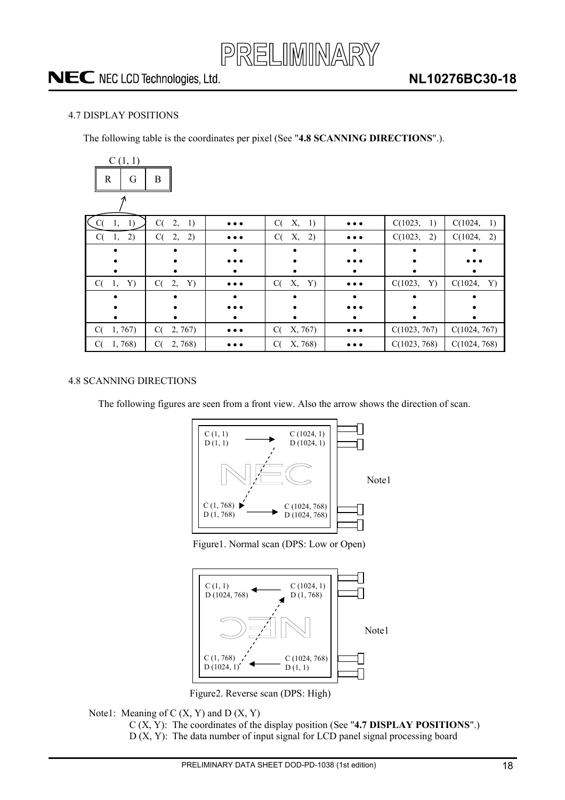

### <span id="page-17-0"></span>4.7 DISPLAY POSITIONS

The following table is the coordinates per pixel (See "**4.8 SCANNING DIRECTIONS**".).

| C(1, 1)             |                |                         |                |                         |               |               |
|---------------------|----------------|-------------------------|----------------|-------------------------|---------------|---------------|
| $\mathbb{R}$<br>G   | B              |                         |                |                         |               |               |
|                     |                |                         |                |                         |               |               |
| $\zeta$ C(<br>1, 1) | C(<br>2,<br>1) | $\bullet\bullet\bullet$ | C(<br>X, 1)    | $\bullet\bullet\bullet$ | C(1023,<br>1) | C(1024, 1)    |
| 2)<br>C(<br>1,      | 2)<br>C(<br>2, | $\bullet\bullet\bullet$ | 2)<br>C(<br>Х, | $\bullet\bullet\bullet$ | C(1023,<br>2) | C(1024,<br>2) |
|                     |                |                         |                |                         |               |               |
|                     |                |                         |                |                         |               |               |
|                     |                |                         |                |                         |               |               |
| C(<br>Y)<br>1,      | C(<br>2,<br>Y) | $\bullet\bullet\bullet$ | Х,<br>C(<br>Y) | $\bullet\bullet\bullet$ | Y)<br>C(1023, | C(1024,<br>Y) |
|                     |                |                         |                |                         |               |               |
|                     |                |                         |                |                         |               |               |
|                     |                |                         |                |                         |               |               |
| C(<br>1, 767        | C(<br>2,767    | $\bullet\bullet\bullet$ | C(<br>X, 767)  | $\bullet\bullet\bullet$ | C(1023, 767)  | C(1024, 767)  |
| 1,768)<br>C(        | C(<br>2,768    |                         | X, 768)<br>C(  |                         | C(1023, 768)  | C(1024, 768)  |

### <span id="page-17-1"></span>4.8 SCANNING DIRECTIONS

The following figures are seen from a front view. Also the arrow shows the direction of scan.



Figure1. Normal scan (DPS: Low or Open)



Figure2. Reverse scan (DPS: High)

### Note1: Meaning of  $C(X, Y)$  and  $D(X, Y)$

C (X, Y): The coordinates of the display position (See "**4.7 DISPLAY POSITIONS**".)  $D(X, Y)$ : The data number of input signal for LCD panel signal processing board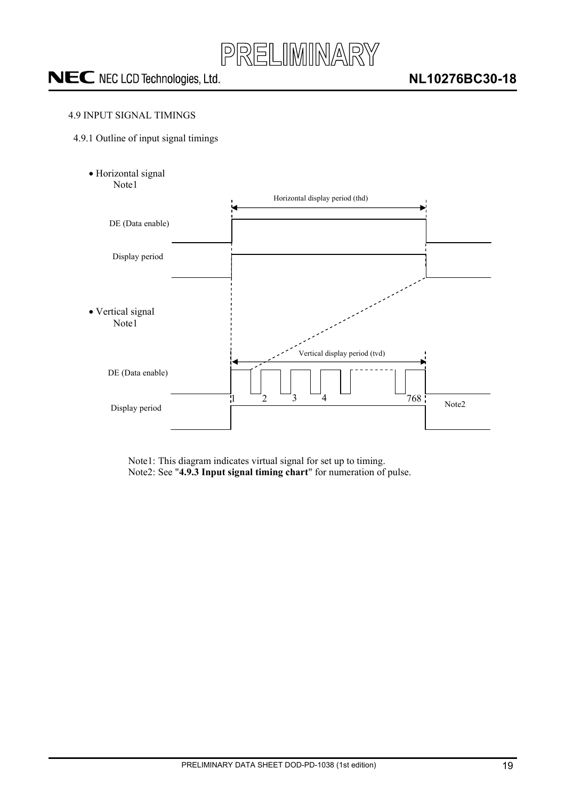

### <span id="page-18-0"></span>4.9 INPUT SIGNAL TIMINGS

- <span id="page-18-1"></span>4.9.1 Outline of input signal timings
	- · Horizontal signal Note1



Note1: This diagram indicates virtual signal for set up to timing. Note2: See "**4.9.3 Input signal timing chart**" for numeration of pulse.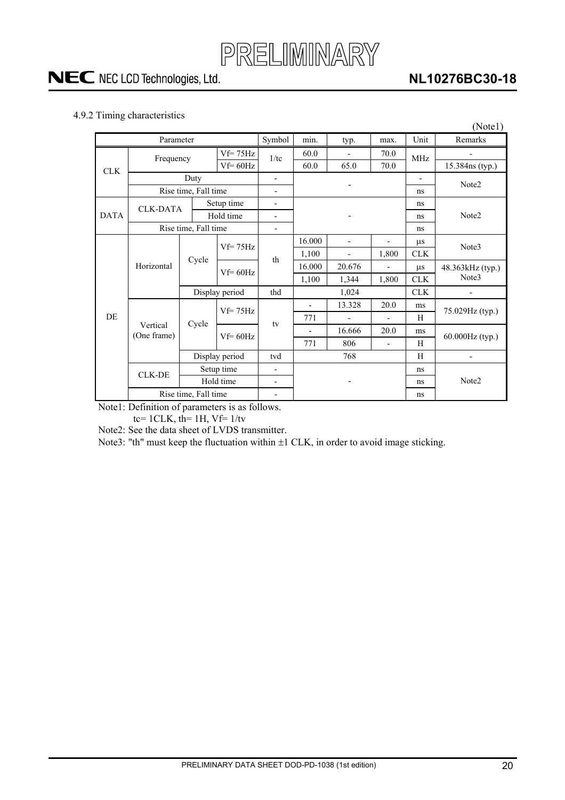### **NL10276BC30-18**

### <span id="page-19-0"></span>4.9.2 Timing characteristics

|             |                         |                      |                |                          |                          |                          |                          |                          | (Note1)           |  |  |
|-------------|-------------------------|----------------------|----------------|--------------------------|--------------------------|--------------------------|--------------------------|--------------------------|-------------------|--|--|
|             | Parameter               |                      |                | Symbol                   | min.                     | typ.                     | max.                     | Unit                     | Remarks           |  |  |
|             | Frequency               |                      | $Vf = 75Hz$    | 1/tc                     | 60.0                     |                          | 70.0                     | <b>MHz</b>               |                   |  |  |
| <b>CLK</b>  |                         |                      | $Vf = 60 Hz$   |                          | 60.0                     | 65.0                     | 70.0                     |                          | 15.384ns (typ.)   |  |  |
|             |                         | Duty                 |                | $\overline{\phantom{0}}$ |                          |                          |                          | $\overline{\phantom{0}}$ | Note2             |  |  |
|             |                         | Rise time, Fall time |                | $\overline{\phantom{a}}$ |                          |                          |                          | ns                       |                   |  |  |
|             | <b>CLK-DATA</b>         |                      | Setup time     | $\overline{\phantom{0}}$ |                          |                          |                          | ns                       |                   |  |  |
| <b>DATA</b> |                         |                      | Hold time      | $\overline{\phantom{a}}$ |                          |                          |                          | ns                       | Note <sub>2</sub> |  |  |
|             |                         | Rise time, Fall time |                | $\overline{\phantom{a}}$ |                          |                          |                          | ns                       |                   |  |  |
|             |                         |                      | $Vf=75Hz$      | th                       | 16.000                   | $\overline{\phantom{m}}$ | $\overline{\phantom{a}}$ | $\mu$ s                  | Note3             |  |  |
|             | Horizontal              | Cycle                |                |                          | 1,100                    |                          | 1,800                    | <b>CLK</b>               |                   |  |  |
|             |                         |                      | $Vf = 60 Hz$   |                          | 16.000                   | 20.676                   |                          | $\mu$ s                  | 48.363kHz (typ.)  |  |  |
|             |                         |                      |                |                          | 1,100                    | 1,344                    | 1,800                    | <b>CLK</b>               | Note3             |  |  |
|             |                         | Display period       |                | thd                      |                          | 1,024                    |                          | <b>CLK</b>               |                   |  |  |
|             |                         |                      | $Vf=75Hz$      |                          | $\overline{\phantom{a}}$ | 13.328                   | 20.0                     | ms                       | 75.029Hz (typ.)   |  |  |
| <b>DE</b>   |                         | Cycle                |                | tv                       | 771                      |                          | $\overline{a}$           | H                        |                   |  |  |
|             | Vertical<br>(One frame) |                      | $Vf = 60Hz$    |                          |                          | 16.666                   | 20.0                     | ms                       | 60.000Hz (typ.)   |  |  |
|             |                         |                      |                |                          | 771                      | 806                      | $\blacksquare$           | H                        |                   |  |  |
|             |                         |                      | Display period | tvd                      | 768                      |                          |                          | H                        |                   |  |  |
|             | <b>CLK-DE</b>           |                      | Setup time     | $\overline{\phantom{a}}$ |                          |                          |                          | ns                       |                   |  |  |
|             |                         | Hold time            |                | $\overline{\phantom{a}}$ |                          | -                        |                          | ns                       | Note2             |  |  |
|             | Rise time, Fall time    |                      |                |                          |                          |                          |                          | ns                       |                   |  |  |

Note1: Definition of parameters is as follows.

tc=  $1CLK$ , th=  $1H$ , Vf=  $1/tv$ 

Note2: See the data sheet of LVDS transmitter.

Note3: "th" must keep the fluctuation within  $\pm 1$  CLK, in order to avoid image sticking.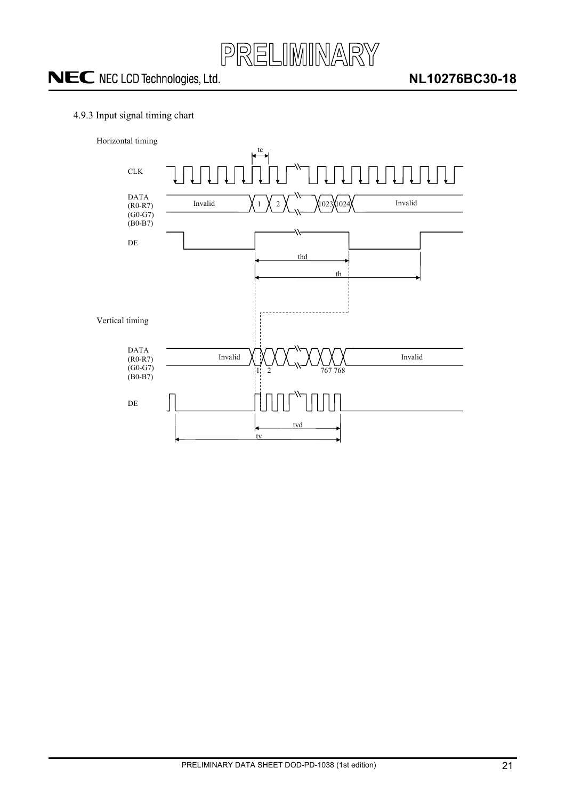

### <span id="page-20-0"></span>4.9.3 Input signal timing chart



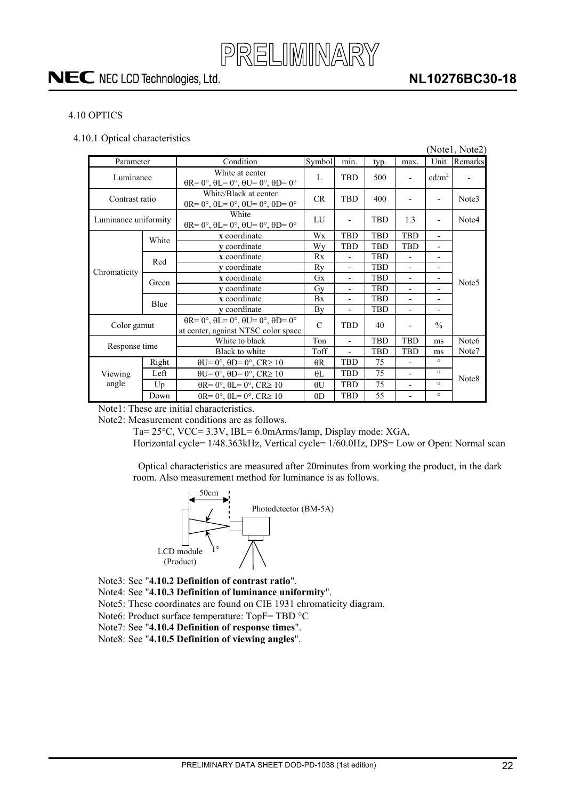### **NL10276BC30-18**

### <span id="page-21-0"></span>4.10 OPTICS

<span id="page-21-1"></span>4.10.1 Optical characteristics

|                      |       |                                                                                                       |               |                          |            |                          |                              | (Notel, Note2)    |
|----------------------|-------|-------------------------------------------------------------------------------------------------------|---------------|--------------------------|------------|--------------------------|------------------------------|-------------------|
| Parameter            |       | Condition                                                                                             | Symbol        | min.                     | typ.       | max.                     | Unit                         | Remarks           |
| Luminance            |       | White at center<br>$\theta$ R= 0°, $\theta$ L= 0°, $\theta$ U= 0°, $\theta$ D= 0°                     | L             | <b>TBD</b>               | 500        | $\overline{\phantom{0}}$ | cd/m <sup>2</sup>            |                   |
| Contrast ratio       |       | White/Black at center<br>$\theta$ R= 0°, $\theta$ L= 0°, $\theta$ U= 0°, $\theta$ D= 0°               | <b>CR</b>     | <b>TBD</b>               | 400        |                          | $\overline{\phantom{0}}$     | Note3             |
| Luminance uniformity |       | White<br>$\theta$ R= 0°, $\theta$ L= 0°, $\theta$ U= 0°, $\theta$ D= 0°                               | LU            |                          | <b>TBD</b> | 1.3                      | $\overline{\phantom{0}}$     | Note4             |
|                      | White | x coordinate                                                                                          | Wx            | <b>TBD</b>               | <b>TBD</b> | <b>TBD</b>               | $\overline{\phantom{a}}$     |                   |
|                      |       | y coordinate                                                                                          | Wy            | <b>TBD</b>               | TBD        | <b>TBD</b>               | $\overline{\phantom{a}}$     |                   |
|                      | Red   | x coordinate                                                                                          | Rx            | $\blacksquare$           | <b>TBD</b> | $\blacksquare$           | $\qquad \qquad \blacksquare$ |                   |
| Chromaticity         |       | y coordinate                                                                                          | Rv            | $\blacksquare$           | <b>TBD</b> | $\overline{a}$           | $\overline{\phantom{0}}$     |                   |
|                      | Green | x coordinate                                                                                          | Gx            | $\blacksquare$           | <b>TBD</b> | $\overline{\phantom{0}}$ | $\overline{\phantom{a}}$     | Note <sub>5</sub> |
|                      |       | y coordinate                                                                                          | Gy            | $\overline{\phantom{0}}$ | <b>TBD</b> |                          |                              |                   |
|                      | Blue  | x coordinate                                                                                          | Bx            | $\blacksquare$           | TBD        | $\overline{a}$           | $\qquad \qquad \blacksquare$ |                   |
|                      |       | y coordinate                                                                                          | By            | $\overline{\phantom{a}}$ | <b>TBD</b> | $\overline{a}$           | $\overline{\phantom{0}}$     |                   |
| Color gamut          |       | $\theta$ R= 0°, $\theta$ L= 0°, $\theta$ U= 0°, $\theta$ D= 0°<br>at center, against NTSC color space | $\mathcal{C}$ | <b>TBD</b>               | 40         |                          | $\frac{0}{0}$                |                   |
|                      |       | White to black                                                                                        | Ton           |                          | <b>TBD</b> | <b>TBD</b>               | ms                           | Note6             |
| Response time        |       | Black to white                                                                                        | Toff          |                          | <b>TBD</b> | <b>TBD</b>               | ms                           | Note7             |
|                      | Right | $\theta U = 0^\circ$ , $\theta D = 0^\circ$ , $CR \ge 10$                                             | $\theta$ R    | <b>TBD</b>               | 75         |                          | $\circ$                      |                   |
| Viewing              | Left  | $\theta U = 0^\circ$ , $\theta D = 0^\circ$ , $CR \ge 10$                                             | $\theta$ L    | <b>TBD</b>               | 75         | $\overline{\phantom{0}}$ | $\circ$                      | Note <sub>8</sub> |
| angle                | Up    | $\theta$ R= 0°, $\theta$ L= 0°, CR≥ 10                                                                | $\theta U$    | <b>TBD</b>               | 75         | $\overline{\phantom{0}}$ | $\circ$                      |                   |
|                      | Down  | $\theta$ R= 0°, $\theta$ L= 0°, CR≥ 10                                                                | $\theta$ D    | <b>TBD</b>               | 55         |                          | $\circ$                      |                   |

Note1: These are initial characteristics.

Note2: Measurement conditions are as follows.

Ta=  $25^{\circ}$ C, VCC=  $3.3V$ , IBL=  $6.0$ mArms/lamp, Display mode: XGA,

Horizontal cycle= 1/48.363kHz, Vertical cycle= 1/60.0Hz, DPS= Low or Open: Normal scan

Optical characteristics are measured after 20minutes from working the product, in the dark room. Also measurement method for luminance is as follows.



Note3: See "**4.10.2 Definition of contrast ratio**".

- Note4: See "**4.10.3 Definition of luminance uniformity**".
- Note5: These coordinates are found on CIE 1931 chromaticity diagram.
- Note6: Product surface temperature:  $TopF = TBD$  °C
- Note7: See "**4.10.4 Definition of response times**".
- Note8: See "**4.10.5 Definition of viewing angles**".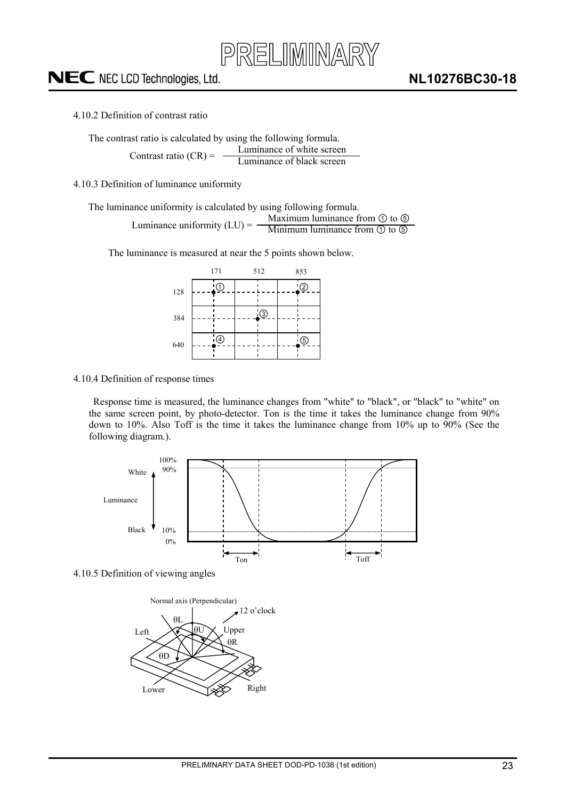

<span id="page-22-0"></span>4.10.2 Definition of contrast ratio

The contrast ratio is calculated by using the following formula. Luminance of white screen Contrast ratio  $(CR)$  =

Luminance of black screen

<span id="page-22-1"></span>4.10.3 Definition of luminance uniformity

The luminance uniformity is calculated by using following formula.

Maximum luminance from  $\odot$  to  $\odot$ Minimum luminance from  $\textcircled{1}$  to  $\textcircled{5}$ Luminance uniformity  $(LU) = -$ 

The luminance is measured at near the 5 points shown below.



#### <span id="page-22-2"></span>4.10.4 Definition of response times

Response time is measured, the luminance changes from "white" to "black", or "black" to "white" on the same screen point, by photo-detector. Ton is the time it takes the luminance change from 90% down to 10%. Also Toff is the time it takes the luminance change from 10% up to 90% (See the following diagram.).



<span id="page-22-3"></span>4.10.5 Definition of viewing angles

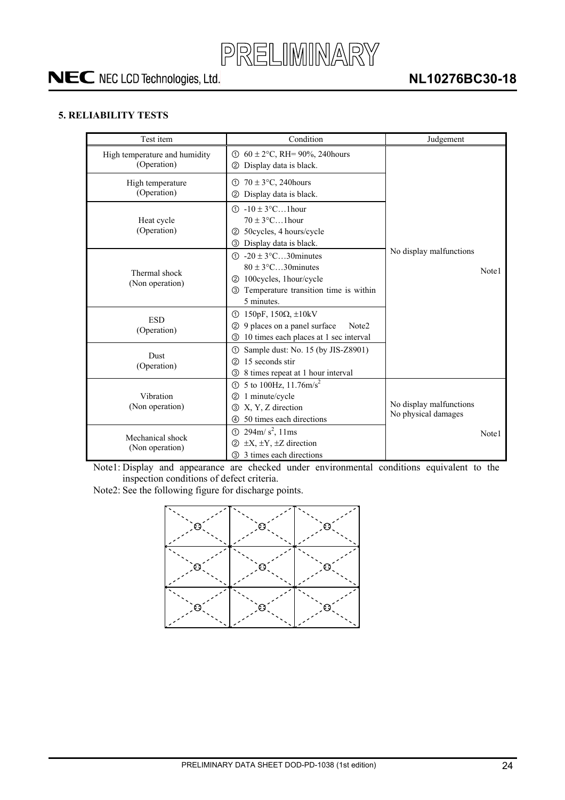

### <span id="page-23-0"></span>**5. RELIABILITY TESTS**

| Test item                                    | Condition                                                                                                                                                                   | Judgement                                      |
|----------------------------------------------|-----------------------------------------------------------------------------------------------------------------------------------------------------------------------------|------------------------------------------------|
| High temperature and humidity<br>(Operation) | ① $60 \pm 2$ °C, RH= 90%, 240 hours<br>Display data is black.<br>(2)                                                                                                        |                                                |
| High temperature<br>(Operation)              | $70 \pm 3$ °C, 240 hours<br>①<br>Display data is black.<br>(2)                                                                                                              |                                                |
| Heat cycle<br>(Operation)                    | $\textcircled{1}$ -10 ± 3°C1 hour<br>$70 \pm 3$ °C1 hour<br>50cycles, 4 hours/cycle<br>(2)<br><b>3</b> Display data is black.                                               |                                                |
| Thermal shock<br>(Non operation)             | $\textcircled{1}$ -20 ± 3°C30 minutes<br>$80 \pm 3$ °C30 minutes<br>100 cycles, 1 hour/cycle<br>(2)<br>Temperature transition time is within<br>$\circled{3}$<br>5 minutes. | No display malfunctions<br>Note1               |
| <b>ESD</b><br>(Operation)                    | ① 150pF, 150Ω, $\pm$ 10kV<br>9 places on a panel surface<br>Note <sub>2</sub><br>$\circled{2}$<br>10 times each places at 1 sec interval<br>③                               |                                                |
| <b>Dust</b><br>(Operation)                   | Sample dust: No. 15 (by JIS-Z8901)<br>①<br>15 seconds stir<br>(2)<br>8 times repeat at 1 hour interval<br>(3)                                                               |                                                |
| Vibration<br>(Non operation)                 | ① 5 to 100Hz, $11.76 \text{m/s}^2$<br>1 minute/cycle<br>(2)<br>X, Y, Z direction<br>3<br>50 times each directions<br>4                                                      | No display malfunctions<br>No physical damages |
| Mechanical shock<br>(Non operation)          | $294 \text{m/s}^2$ , 11ms<br>$\odot$<br>$\pm X$ , $\pm Y$ , $\pm Z$ direction<br>(2)<br>3 times each directions<br>$\circled{3}$                                            | Note1                                          |

Note1: Display and appearance are checked under environmental conditions equivalent to the inspection conditions of defect criteria.

Note2: See the following figure for discharge points.

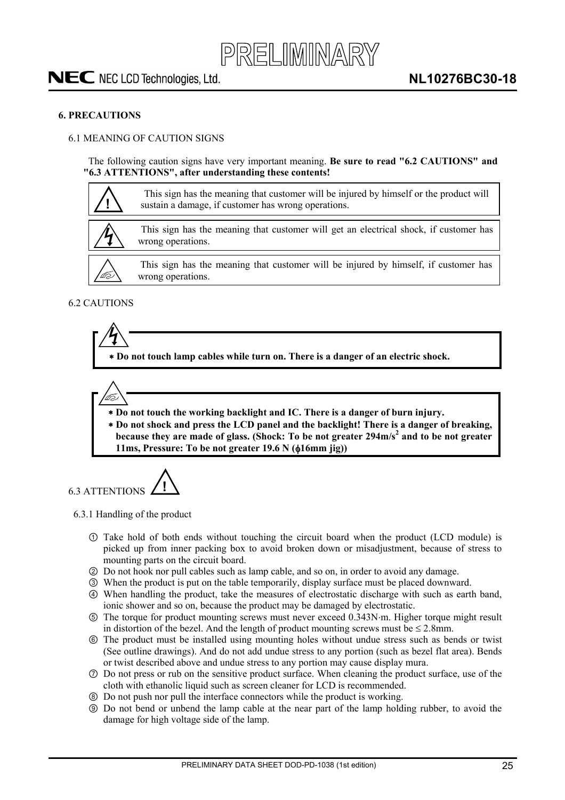### <span id="page-24-0"></span>**6. PRECAUTIONS**

#### <span id="page-24-1"></span>6.1 MEANING OF CAUTION SIGNS

The following caution signs have very important meaning. **Be sure to read "6.2 CAUTIONS" and "6.3 ATTENTIONS", after understanding these contents!** 



<span id="page-24-2"></span>6.2 CAUTIONS

 **Do not touch lamp cables while turn on. There is a danger of an electric shock.** 



 **Do not touch the working backlight and IC. There is a danger of burn injury.** 

  **Do not shock and press the LCD panel and the backlight! There is a danger of breaking, because they are made of glass. (Shock: To be not greater 294m/s<sup>2</sup> and to be not greater 11ms, Pressure: To be not greater 19.6 N (** $\phi$ **16mm jig))** 

<span id="page-24-3"></span>6.3 ATTENTIONS **!**

<span id="page-24-4"></span>6.3.1 Handling of the product

- Take hold of both ends without touching the circuit board when the product (LCD module) is picked up from inner packing box to avoid broken down or misadjustment, because of stress to mounting parts on the circuit board.
- ཱ Do not hook nor pull cables such as lamp cable, and so on, in order to avoid any damage.
- ི When the product is put on the table temporarily, display surface must be placed downward.
- ཱི When handling the product, take the measures of electrostatic discharge with such as earth band, ionic shower and so on, because the product may be damaged by electrostatic.
- ུ The torque for product mounting screws must never exceed 0.343Nm. Higher torque might result in distortion of the bezel. And the length of product mounting screws must be  $\leq 2.8$ mm.
- ཱུ The product must be installed using mounting holes without undue stress such as bends or twist (See outline drawings). And do not add undue stress to any portion (such as bezel flat area). Bends or twist described above and undue stress to any portion may cause display mura.
- ྲྀ Do not press or rub on the sensitive product surface. When cleaning the product surface, use of the cloth with ethanolic liquid such as screen cleaner for LCD is recommended.
- ཷ Do not push nor pull the interface connectors while the product is working.
- ླྀ Do not bend or unbend the lamp cable at the near part of the lamp holding rubber, to avoid the damage for high voltage side of the lamp.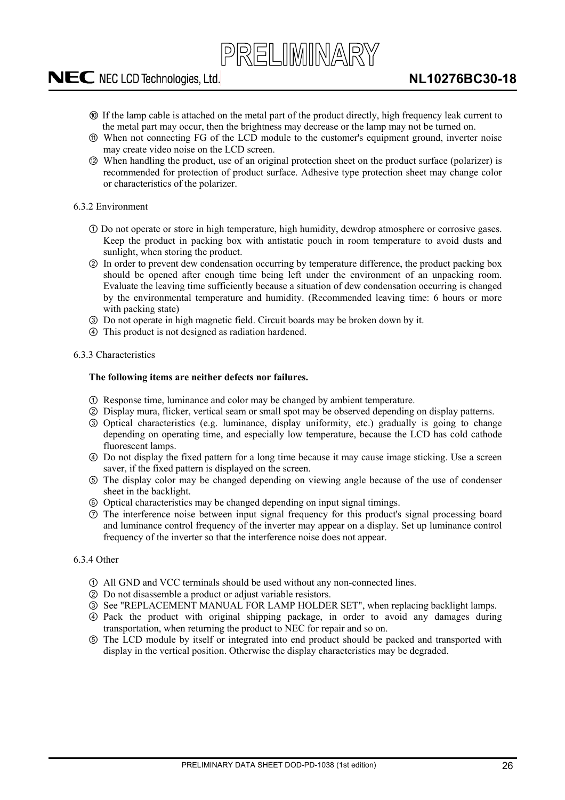PRELIMINARY

- ཹ If the lamp cable is attached on the metal part of the product directly, high frequency leak current to the metal part may occur, then the brightness may decrease or the lamp may not be turned on.
- ེ When not connecting FG of the LCD module to the customer's equipment ground, inverter noise may create video noise on the LCD screen.
- ཻ When handling the product, use of an original protection sheet on the product surface (polarizer) is recommended for protection of product surface. Adhesive type protection sheet may change color or characteristics of the polarizer.

### <span id="page-25-0"></span>6.3.2 Environment

- Do not operate or store in high temperature, high humidity, dewdrop atmosphere or corrosive gases. Keep the product in packing box with antistatic pouch in room temperature to avoid dusts and sunlight, when storing the product.
- ཱ In order to prevent dew condensation occurring by temperature difference, the product packing box should be opened after enough time being left under the environment of an unpacking room. Evaluate the leaving time sufficiently because a situation of dew condensation occurring is changed by the environmental temperature and humidity. (Recommended leaving time: 6 hours or more with packing state)
- ི Do not operate in high magnetic field. Circuit boards may be broken down by it.
- ཱི This product is not designed as radiation hardened.

#### <span id="page-25-1"></span>6.3.3 Characteristics

#### **The following items are neither defects nor failures.**

- Response time, luminance and color may be changed by ambient temperature.
- ཱ Display mura, flicker, vertical seam or small spot may be observed depending on display patterns.
- ི Optical characteristics (e.g. luminance, display uniformity, etc.) gradually is going to change depending on operating time, and especially low temperature, because the LCD has cold cathode fluorescent lamps.
- ཱི Do not display the fixed pattern for a long time because it may cause image sticking. Use a screen saver, if the fixed pattern is displayed on the screen.
- ུ The display color may be changed depending on viewing angle because of the use of condenser sheet in the backlight.
- ཱུ Optical characteristics may be changed depending on input signal timings.
- ྲྀ The interference noise between input signal frequency for this product's signal processing board and luminance control frequency of the inverter may appear on a display. Set up luminance control frequency of the inverter so that the interference noise does not appear.

### <span id="page-25-2"></span>6.3.4 Other

- All GND and VCC terminals should be used without any non-connected lines.
- ཱ Do not disassemble a product or adjust variable resistors.
- ི See "REPLACEMENT MANUAL FOR LAMP HOLDER SET", when replacing backlight lamps.
- ཱི Pack the product with original shipping package, in order to avoid any damages during transportation, when returning the product to NEC for repair and so on.
- ུ The LCD module by itself or integrated into end product should be packed and transported with display in the vertical position. Otherwise the display characteristics may be degraded.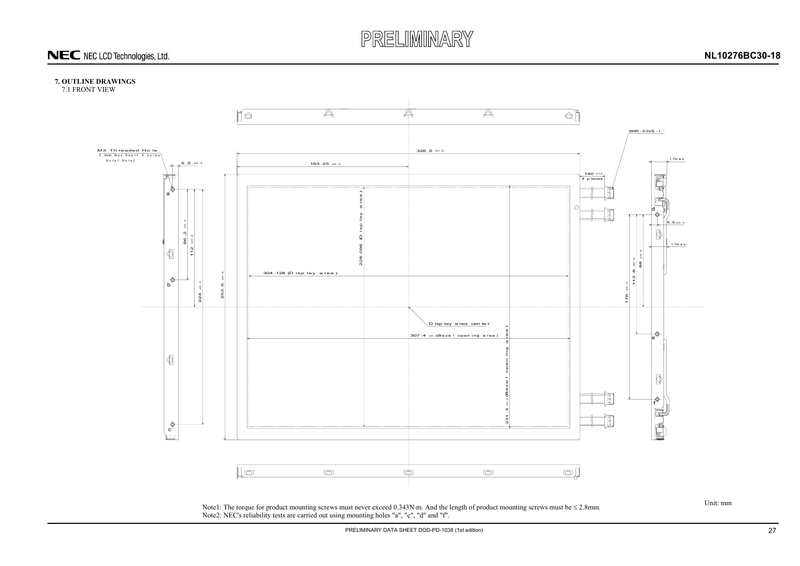

### **7. OUTLINE DRAWINGS**

7.1 FRONT VIEW

<span id="page-26-1"></span><span id="page-26-0"></span>Note1: The torque for product mounting screws must never exceed  $0.343N$  m. And the length of product mounting screws must be  $\leq 2.8$ mm. Note2: NEC's reliability tests are carried out using mounting holes "a", "c", "d" and "f".

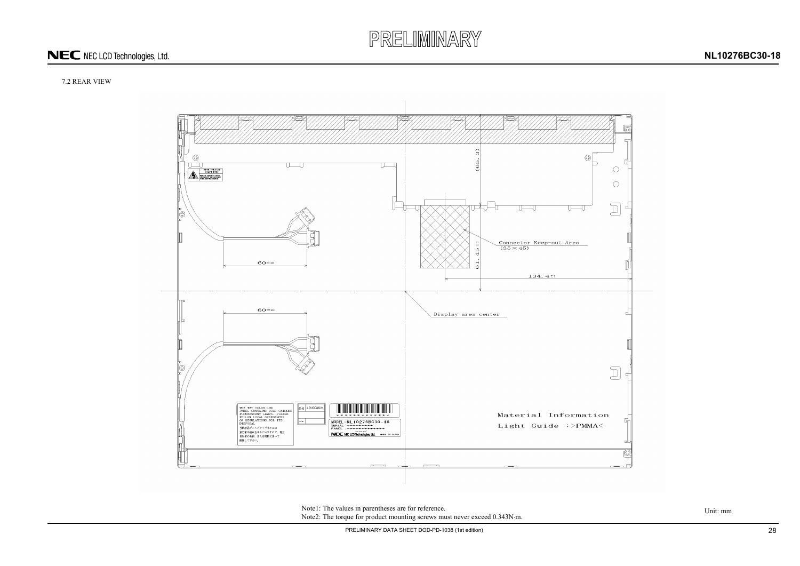# PRELIMINARY

## NEC NEC LCD Technologies, Ltd.

### **NL10276BC30-18**



PRELIMINARY DATA SHEET DOD-PD-1038 (1st edition) 28

### 7.2 REAR VIEW



<span id="page-27-0"></span>Note1: The values in parentheses are for reference.<br>Unit: mm Note2: The torque for product mounting screws must never exceed 0.343N·m.